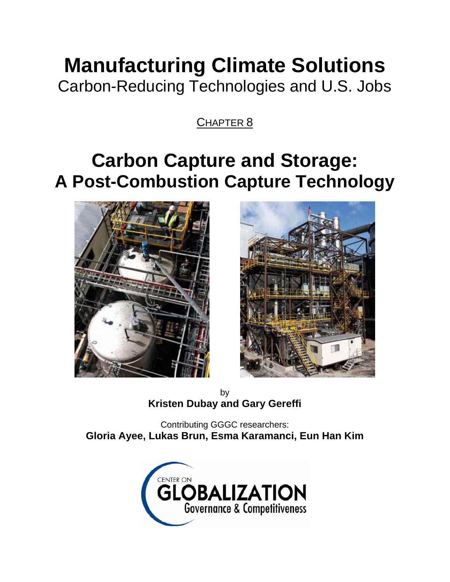# **Manufacturing Climate Solutions**

Carbon-Reducing Technologies and U.S. Jobs

CHAPTER 8

## **Carbon Capture and Storage: A Post-Combustion Capture Technology**





by **Kristen Dubay and Gary Gereffi** 

Contributing GGGC researchers: **Gloria Ayee, Lukas Brun, Esma Karamanci, Eun Han Kim** 

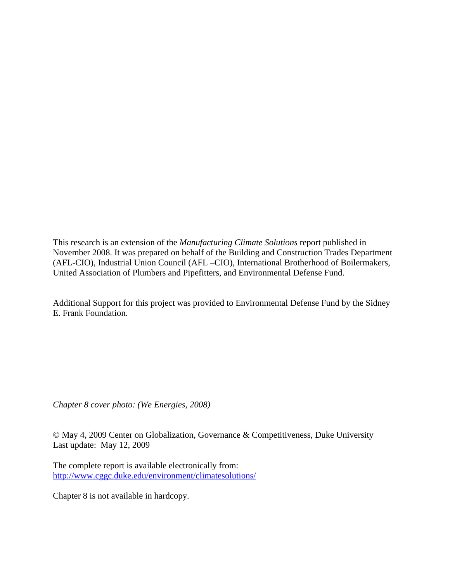This research is an extension of the *Manufacturing Climate Solutions* report published in November 2008. It was prepared on behalf of the Building and Construction Trades Department (AFL-CIO), Industrial Union Council (AFL –CIO), International Brotherhood of Boilermakers, United Association of Plumbers and Pipefitters, and Environmental Defense Fund.

Additional Support for this project was provided to Environmental Defense Fund by the Sidney E. Frank Foundation.

*Chapter 8 cover photo: (We Energies, 2008)*

© May 4, 2009 Center on Globalization, Governance & Competitiveness, Duke University Last update: May 12, 2009

The complete report is available electronically from: http://www.cggc.duke.edu/environment/climatesolutions/

Chapter 8 is not available in hardcopy.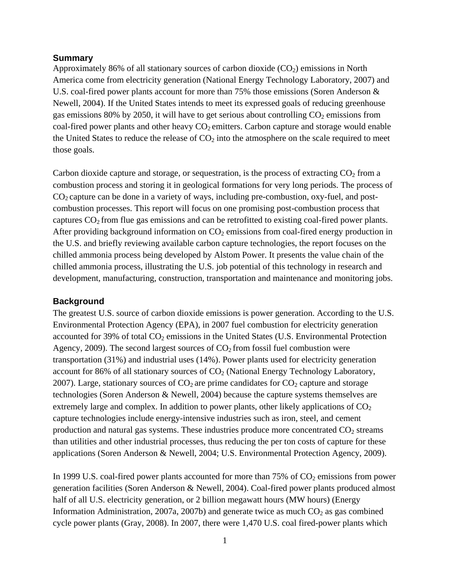#### **Summary**

Approximately 86% of all stationary sources of carbon dioxide  $(CO<sub>2</sub>)$  emissions in North America come from electricity generation (National Energy Technology Laboratory, 2007) and U.S. coal-fired power plants account for more than 75% those emissions (Soren Anderson & Newell, 2004). If the United States intends to meet its expressed goals of reducing greenhouse gas emissions 80% by 2050, it will have to get serious about controlling  $CO<sub>2</sub>$  emissions from coal-fired power plants and other heavy  $CO<sub>2</sub>$  emitters. Carbon capture and storage would enable the United States to reduce the release of  $CO<sub>2</sub>$  into the atmosphere on the scale required to meet those goals.

Carbon dioxide capture and storage, or sequestration, is the process of extracting  $CO<sub>2</sub>$  from a combustion process and storing it in geological formations for very long periods. The process of  $CO<sub>2</sub>$  capture can be done in a variety of ways, including pre-combustion, oxy-fuel, and postcombustion processes. This report will focus on one promising post-combustion process that captures  $CO<sub>2</sub>$  from flue gas emissions and can be retrofitted to existing coal-fired power plants. After providing background information on  $CO<sub>2</sub>$  emissions from coal-fired energy production in the U.S. and briefly reviewing available carbon capture technologies, the report focuses on the chilled ammonia process being developed by Alstom Power. It presents the value chain of the chilled ammonia process, illustrating the U.S. job potential of this technology in research and development, manufacturing, construction, transportation and maintenance and monitoring jobs.

#### **Background**

The greatest U.S. source of carbon dioxide emissions is power generation. According to the U.S. Environmental Protection Agency (EPA), in 2007 fuel combustion for electricity generation accounted for 39% of total  $CO<sub>2</sub>$  emissions in the United States (U.S. Environmental Protection Agency, 2009). The second largest sources of  $CO<sub>2</sub>$  from fossil fuel combustion were transportation (31%) and industrial uses (14%). Power plants used for electricity generation account for 86% of all stationary sources of  $CO<sub>2</sub>$  (National Energy Technology Laboratory, 2007). Large, stationary sources of  $CO<sub>2</sub>$  are prime candidates for  $CO<sub>2</sub>$  capture and storage technologies (Soren Anderson & Newell, 2004) because the capture systems themselves are extremely large and complex. In addition to power plants, other likely applications of  $CO<sub>2</sub>$ capture technologies include energy-intensive industries such as iron, steel, and cement production and natural gas systems. These industries produce more concentrated  $CO<sub>2</sub>$  streams than utilities and other industrial processes, thus reducing the per ton costs of capture for these applications (Soren Anderson & Newell, 2004; U.S. Environmental Protection Agency, 2009).

In 1999 U.S. coal-fired power plants accounted for more than  $75\%$  of  $CO<sub>2</sub>$  emissions from power generation facilities (Soren Anderson & Newell, 2004). Coal-fired power plants produced almost half of all U.S. electricity generation, or 2 billion megawatt hours (MW hours) (Energy Information Administration, 2007a, 2007b) and generate twice as much  $CO<sub>2</sub>$  as gas combined cycle power plants (Gray, 2008). In 2007, there were 1,470 U.S. coal fired-power plants which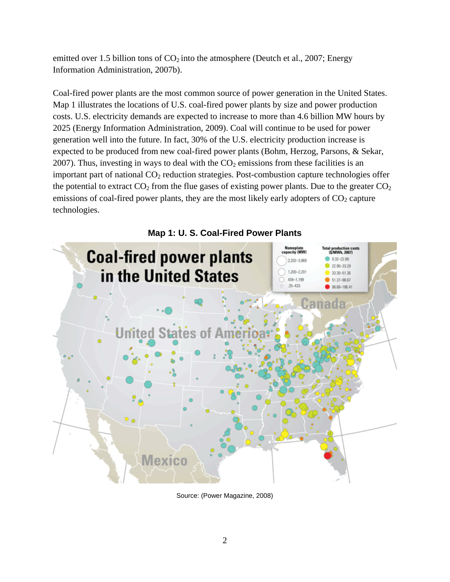emitted over 1.5 billion tons of  $CO<sub>2</sub>$  into the atmosphere (Deutch et al., 2007; Energy Information Administration, 2007b).

Coal-fired power plants are the most common source of power generation in the United States. Map 1 illustrates the locations of U.S. coal-fired power plants by size and power production costs. U.S. electricity demands are expected to increase to more than 4.6 billion MW hours by 2025 (Energy Information Administration, 2009). Coal will continue to be used for power generation well into the future. In fact, 30% of the U.S. electricity production increase is expected to be produced from new coal-fired power plants (Bohm, Herzog, Parsons, & Sekar, 2007). Thus, investing in ways to deal with the  $CO<sub>2</sub>$  emissions from these facilities is an important part of national  $CO<sub>2</sub>$  reduction strategies. Post-combustion capture technologies offer the potential to extract  $CO_2$  from the flue gases of existing power plants. Due to the greater  $CO_2$ emissions of coal-fired power plants, they are the most likely early adopters of  $CO<sub>2</sub>$  capture technologies.



Source: (Power Magazine, 2008)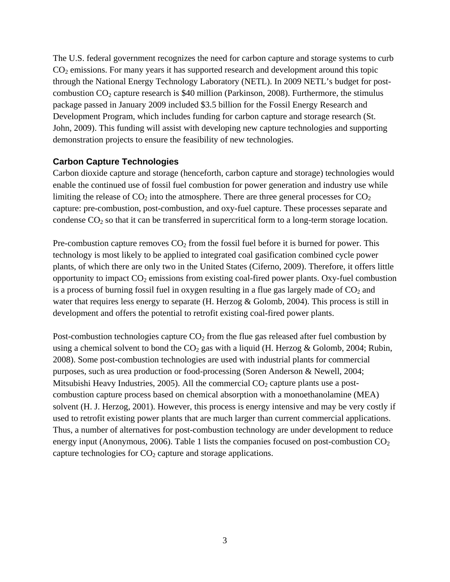The U.S. federal government recognizes the need for carbon capture and storage systems to curb CO2 emissions. For many years it has supported research and development around this topic through the National Energy Technology Laboratory (NETL). In 2009 NETL's budget for postcombustion  $CO_2$  capture research is \$40 million (Parkinson, 2008). Furthermore, the stimulus package passed in January 2009 included \$3.5 billion for the Fossil Energy Research and Development Program, which includes funding for carbon capture and storage research (St. John, 2009). This funding will assist with developing new capture technologies and supporting demonstration projects to ensure the feasibility of new technologies.

#### **Carbon Capture Technologies**

Carbon dioxide capture and storage (henceforth, carbon capture and storage) technologies would enable the continued use of fossil fuel combustion for power generation and industry use while limiting the release of  $CO_2$  into the atmosphere. There are three general processes for  $CO_2$ capture: pre-combustion, post-combustion, and oxy-fuel capture. These processes separate and condense  $CO<sub>2</sub>$  so that it can be transferred in supercritical form to a long-term storage location.

Pre-combustion capture removes  $CO<sub>2</sub>$  from the fossil fuel before it is burned for power. This technology is most likely to be applied to integrated coal gasification combined cycle power plants, of which there are only two in the United States (Ciferno, 2009). Therefore, it offers little opportunity to impact  $CO_2$  emissions from existing coal-fired power plants. Oxy-fuel combustion is a process of burning fossil fuel in oxygen resulting in a flue gas largely made of  $CO<sub>2</sub>$  and water that requires less energy to separate (H. Herzog & Golomb, 2004). This process is still in development and offers the potential to retrofit existing coal-fired power plants.

Post-combustion technologies capture  $CO<sub>2</sub>$  from the flue gas released after fuel combustion by using a chemical solvent to bond the  $CO<sub>2</sub>$  gas with a liquid (H. Herzog & Golomb, 2004; Rubin, 2008). Some post-combustion technologies are used with industrial plants for commercial purposes, such as urea production or food-processing (Soren Anderson & Newell, 2004; Mitsubishi Heavy Industries, 2005). All the commercial  $CO<sub>2</sub>$  capture plants use a postcombustion capture process based on chemical absorption with a monoethanolamine (MEA) solvent (H. J. Herzog, 2001). However, this process is energy intensive and may be very costly if used to retrofit existing power plants that are much larger than current commercial applications. Thus, a number of alternatives for post-combustion technology are under development to reduce energy input (Anonymous, 2006). Table 1 lists the companies focused on post-combustion  $CO<sub>2</sub>$ capture technologies for  $CO<sub>2</sub>$  capture and storage applications.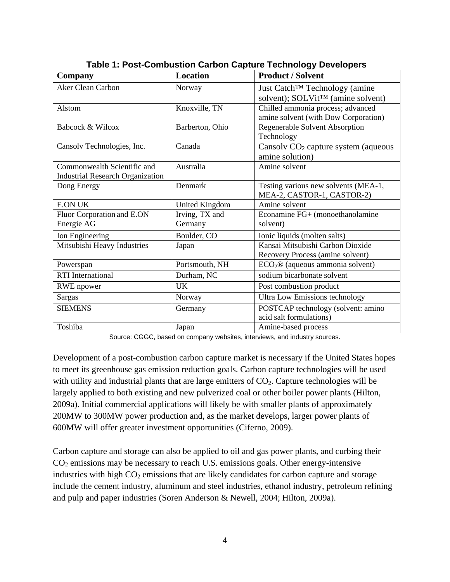| <b>Company</b>                          | Location        | <b>Product / Solvent</b>                       |  |
|-----------------------------------------|-----------------|------------------------------------------------|--|
| <b>Aker Clean Carbon</b>                | Norway          | Just Catch <sup>™</sup> Technology (amine      |  |
|                                         |                 | solvent); SOLVit <sup>TM</sup> (amine solvent) |  |
| Alstom                                  | Knoxville, TN   | Chilled ammonia process; advanced              |  |
|                                         |                 | amine solvent (with Dow Corporation)           |  |
| Babcock & Wilcox                        | Barberton, Ohio | Regenerable Solvent Absorption                 |  |
|                                         |                 | Technology                                     |  |
| Cansolv Technologies, Inc.              | Canada          | Cansolv $CO2$ capture system (aqueous          |  |
|                                         |                 | amine solution)                                |  |
| Commonwealth Scientific and             | Australia       | Amine solvent                                  |  |
| <b>Industrial Research Organization</b> |                 |                                                |  |
| Dong Energy                             | Denmark         | Testing various new solvents (MEA-1,           |  |
|                                         |                 | MEA-2, CASTOR-1, CASTOR-2)                     |  |
| <b>E.ON UK</b>                          | United Kingdom  | Amine solvent                                  |  |
| Fluor Corporation and E.ON              | Irving, TX and  | Econamine FG+ (monoethanolamine                |  |
| Energie AG                              | Germany         | solvent)                                       |  |
| Ion Engineering                         | Boulder, CO     | Ionic liquids (molten salts)                   |  |
| Mitsubishi Heavy Industries             | Japan           | Kansai Mitsubishi Carbon Dioxide               |  |
|                                         |                 | Recovery Process (amine solvent)               |  |
| Powerspan                               | Portsmouth, NH  | $ECO2®$ (aqueous ammonia solvent)              |  |
| <b>RTI</b> International                | Durham, NC      | sodium bicarbonate solvent                     |  |
| <b>RWE</b> npower                       | <b>UK</b>       | Post combustion product                        |  |
| Sargas                                  | Norway          | <b>Ultra Low Emissions technology</b>          |  |
| <b>SIEMENS</b>                          | Germany         | POSTCAP technology (solvent: amino             |  |
|                                         |                 | acid salt formulations)                        |  |
| Toshiba                                 | Japan           | Amine-based process                            |  |

**Table 1: Post-Combustion Carbon Capture Technology Developers** 

Source: CGGC, based on company websites, interviews, and industry sources.

Development of a post-combustion carbon capture market is necessary if the United States hopes to meet its greenhouse gas emission reduction goals. Carbon capture technologies will be used with utility and industrial plants that are large emitters of  $CO<sub>2</sub>$ . Capture technologies will be largely applied to both existing and new pulverized coal or other boiler power plants (Hilton, 2009a). Initial commercial applications will likely be with smaller plants of approximately 200MW to 300MW power production and, as the market develops, larger power plants of 600MW will offer greater investment opportunities (Ciferno, 2009).

Carbon capture and storage can also be applied to oil and gas power plants, and curbing their  $CO<sub>2</sub>$  emissions may be necessary to reach U.S. emissions goals. Other energy-intensive industries with high  $CO<sub>2</sub>$  emissions that are likely candidates for carbon capture and storage include the cement industry, aluminum and steel industries, ethanol industry, petroleum refining and pulp and paper industries (Soren Anderson & Newell, 2004; Hilton, 2009a).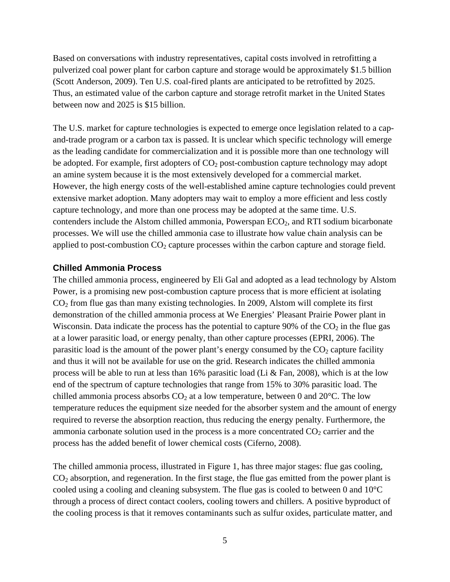Based on conversations with industry representatives, capital costs involved in retrofitting a pulverized coal power plant for carbon capture and storage would be approximately \$1.5 billion (Scott Anderson, 2009). Ten U.S. coal-fired plants are anticipated to be retrofitted by 2025. Thus, an estimated value of the carbon capture and storage retrofit market in the United States between now and 2025 is \$15 billion.

The U.S. market for capture technologies is expected to emerge once legislation related to a capand-trade program or a carbon tax is passed. It is unclear which specific technology will emerge as the leading candidate for commercialization and it is possible more than one technology will be adopted. For example, first adopters of  $CO<sub>2</sub>$  post-combustion capture technology may adopt an amine system because it is the most extensively developed for a commercial market. However, the high energy costs of the well-established amine capture technologies could prevent extensive market adoption. Many adopters may wait to employ a more efficient and less costly capture technology, and more than one process may be adopted at the same time. U.S. contenders include the Alstom chilled ammonia, Powerspan  $ECO<sub>2</sub>$ , and RTI sodium bicarbonate processes. We will use the chilled ammonia case to illustrate how value chain analysis can be applied to post-combustion  $CO<sub>2</sub>$  capture processes within the carbon capture and storage field.

#### **Chilled Ammonia Process**

The chilled ammonia process, engineered by Eli Gal and adopted as a lead technology by Alstom Power, is a promising new post-combustion capture process that is more efficient at isolating  $CO<sub>2</sub>$  from flue gas than many existing technologies. In 2009, Alstom will complete its first demonstration of the chilled ammonia process at We Energies' Pleasant Prairie Power plant in Wisconsin. Data indicate the process has the potential to capture  $90\%$  of the  $CO<sub>2</sub>$  in the flue gas at a lower parasitic load, or energy penalty, than other capture processes (EPRI, 2006). The parasitic load is the amount of the power plant's energy consumed by the  $CO<sub>2</sub>$  capture facility and thus it will not be available for use on the grid. Research indicates the chilled ammonia process will be able to run at less than 16% parasitic load (Li & Fan, 2008), which is at the low end of the spectrum of capture technologies that range from 15% to 30% parasitic load. The chilled ammonia process absorbs  $CO<sub>2</sub>$  at a low temperature, between 0 and 20 $^{\circ}$ C. The low temperature reduces the equipment size needed for the absorber system and the amount of energy required to reverse the absorption reaction, thus reducing the energy penalty. Furthermore, the ammonia carbonate solution used in the process is a more concentrated  $CO<sub>2</sub>$  carrier and the process has the added benefit of lower chemical costs (Ciferno, 2008).

The chilled ammonia process, illustrated in Figure 1, has three major stages: flue gas cooling,  $CO<sub>2</sub>$  absorption, and regeneration. In the first stage, the flue gas emitted from the power plant is cooled using a cooling and cleaning subsystem. The flue gas is cooled to between 0 and 10°C through a process of direct contact coolers, cooling towers and chillers. A positive byproduct of the cooling process is that it removes contaminants such as sulfur oxides, particulate matter, and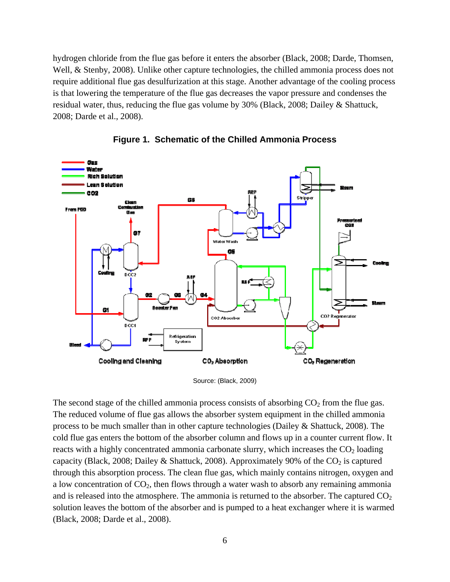hydrogen chloride from the flue gas before it enters the absorber (Black, 2008; Darde, Thomsen, Well, & Stenby, 2008). Unlike other capture technologies, the chilled ammonia process does not require additional flue gas desulfurization at this stage. Another advantage of the cooling process is that lowering the temperature of the flue gas decreases the vapor pressure and condenses the residual water, thus, reducing the flue gas volume by 30% (Black, 2008; Dailey & Shattuck, 2008; Darde et al., 2008).



**Figure 1. Schematic of the Chilled Ammonia Process** 

The second stage of the chilled ammonia process consists of absorbing  $CO<sub>2</sub>$  from the flue gas. The reduced volume of flue gas allows the absorber system equipment in the chilled ammonia process to be much smaller than in other capture technologies (Dailey & Shattuck, 2008). The cold flue gas enters the bottom of the absorber column and flows up in a counter current flow. It reacts with a highly concentrated ammonia carbonate slurry, which increases the  $CO<sub>2</sub>$  loading capacity (Black, 2008; Dailey & Shattuck, 2008). Approximately 90% of the  $CO<sub>2</sub>$  is captured through this absorption process. The clean flue gas, which mainly contains nitrogen, oxygen and a low concentration of  $CO<sub>2</sub>$ , then flows through a water wash to absorb any remaining ammonia and is released into the atmosphere. The ammonia is returned to the absorber. The captured  $CO<sub>2</sub>$ solution leaves the bottom of the absorber and is pumped to a heat exchanger where it is warmed (Black, 2008; Darde et al., 2008).

Source: (Black, 2009)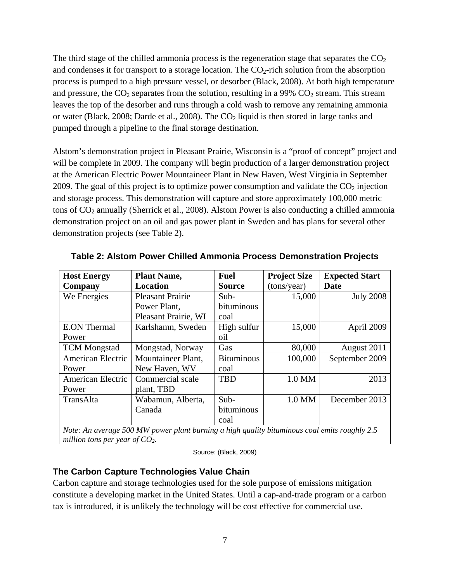The third stage of the chilled ammonia process is the regeneration stage that separates the  $CO<sub>2</sub>$ and condenses it for transport to a storage location. The  $CO<sub>2</sub>$ -rich solution from the absorption process is pumped to a high pressure vessel, or desorber (Black, 2008). At both high temperature and pressure, the  $CO_2$  separates from the solution, resulting in a 99%  $CO_2$  stream. This stream leaves the top of the desorber and runs through a cold wash to remove any remaining ammonia or water (Black, 2008; Darde et al., 2008). The  $CO<sub>2</sub>$  liquid is then stored in large tanks and pumped through a pipeline to the final storage destination.

Alstom's demonstration project in Pleasant Prairie, Wisconsin is a "proof of concept" project and will be complete in 2009. The company will begin production of a larger demonstration project at the American Electric Power Mountaineer Plant in New Haven, West Virginia in September 2009. The goal of this project is to optimize power consumption and validate the  $CO<sub>2</sub>$  injection and storage process. This demonstration will capture and store approximately 100,000 metric tons of  $CO<sub>2</sub>$  annually (Sherrick et al., 2008). Alstom Power is also conducting a chilled ammonia demonstration project on an oil and gas power plant in Sweden and has plans for several other demonstration projects (see Table 2).

| <b>Host Energy</b>                                                                           | <b>Plant Name,</b>      | <b>Fuel</b>       | <b>Project Size</b> | <b>Expected Start</b> |
|----------------------------------------------------------------------------------------------|-------------------------|-------------------|---------------------|-----------------------|
| Company                                                                                      | Location                | <b>Source</b>     | (tons/year)         | <b>Date</b>           |
| We Energies                                                                                  | <b>Pleasant Prairie</b> | Sub-              | 15,000              | <b>July 2008</b>      |
|                                                                                              | Power Plant,            | bituminous        |                     |                       |
|                                                                                              | Pleasant Prairie, WI    | coal              |                     |                       |
| <b>E.ON Thermal</b>                                                                          | Karlshamn, Sweden       | High sulfur       | 15,000              | April 2009            |
| Power                                                                                        |                         | oil               |                     |                       |
| <b>TCM</b> Mongstad                                                                          | Mongstad, Norway        | Gas               | 80,000              | August 2011           |
| American Electric                                                                            | Mountaineer Plant,      | <b>Bituminous</b> | 100,000             | September 2009        |
| Power                                                                                        | New Haven, WV           | coal              |                     |                       |
| American Electric                                                                            | Commercial scale        | <b>TBD</b>        | 1.0 MM              | 2013                  |
| Power                                                                                        | plant, TBD              |                   |                     |                       |
| TransAlta                                                                                    | Wabamun, Alberta,       | $Sub-$            | 1.0 MM              | December 2013         |
|                                                                                              | Canada                  | bituminous        |                     |                       |
|                                                                                              |                         | coal              |                     |                       |
| Note: An average 500 MW power plant burning a high quality bituminous coal emits roughly 2.5 |                         |                   |                     |                       |
| million tons per year of $CO2$ .                                                             |                         |                   |                     |                       |

**Table 2: Alstom Power Chilled Ammonia Process Demonstration Projects** 

Source: (Black, 2009)

## **The Carbon Capture Technologies Value Chain**

Carbon capture and storage technologies used for the sole purpose of emissions mitigation constitute a developing market in the United States. Until a cap-and-trade program or a carbon tax is introduced, it is unlikely the technology will be cost effective for commercial use.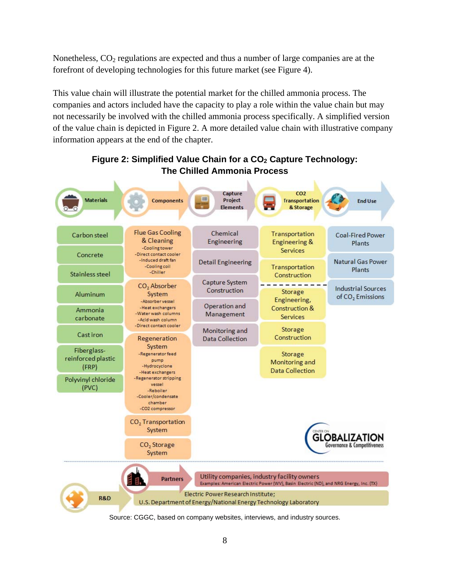Nonetheless,  $CO<sub>2</sub>$  regulations are expected and thus a number of large companies are at the forefront of developing technologies for this future market (see Figure 4).

This value chain will illustrate the potential market for the chilled ammonia process. The companies and actors included have the capacity to play a role within the value chain but may not necessarily be involved with the chilled ammonia process specifically. A simplified version of the value chain is depicted in Figure 2. A more detailed value chain with illustrative company information appears at the end of the chapter.



## Figure 2: Simplified Value Chain for a CO<sub>2</sub> Capture Technology: **The Chilled Ammonia Process**

Source: CGGC, based on company websites, interviews, and industry sources.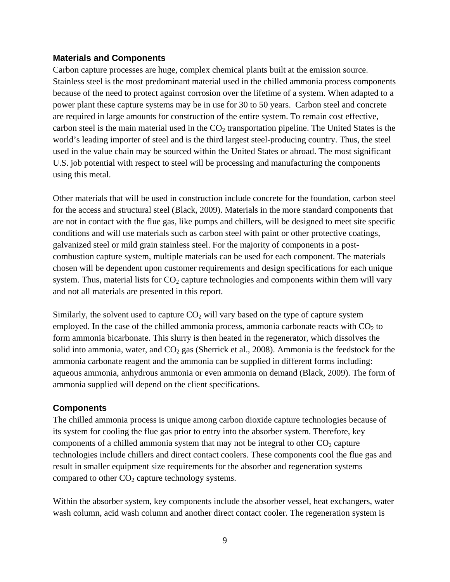#### **Materials and Components**

Carbon capture processes are huge, complex chemical plants built at the emission source. Stainless steel is the most predominant material used in the chilled ammonia process components because of the need to protect against corrosion over the lifetime of a system. When adapted to a power plant these capture systems may be in use for 30 to 50 years. Carbon steel and concrete are required in large amounts for construction of the entire system. To remain cost effective, carbon steel is the main material used in the  $CO<sub>2</sub>$  transportation pipeline. The United States is the world's leading importer of steel and is the third largest steel-producing country. Thus, the steel used in the value chain may be sourced within the United States or abroad. The most significant U.S. job potential with respect to steel will be processing and manufacturing the components using this metal.

Other materials that will be used in construction include concrete for the foundation, carbon steel for the access and structural steel (Black, 2009). Materials in the more standard components that are not in contact with the flue gas, like pumps and chillers, will be designed to meet site specific conditions and will use materials such as carbon steel with paint or other protective coatings, galvanized steel or mild grain stainless steel. For the majority of components in a postcombustion capture system, multiple materials can be used for each component. The materials chosen will be dependent upon customer requirements and design specifications for each unique system. Thus, material lists for  $CO<sub>2</sub>$  capture technologies and components within them will vary and not all materials are presented in this report.

Similarly, the solvent used to capture  $CO<sub>2</sub>$  will vary based on the type of capture system employed. In the case of the chilled ammonia process, ammonia carbonate reacts with  $CO<sub>2</sub>$  to form ammonia bicarbonate. This slurry is then heated in the regenerator, which dissolves the solid into ammonia, water, and  $CO<sub>2</sub>$  gas (Sherrick et al., 2008). Ammonia is the feedstock for the ammonia carbonate reagent and the ammonia can be supplied in different forms including: aqueous ammonia, anhydrous ammonia or even ammonia on demand (Black, 2009). The form of ammonia supplied will depend on the client specifications.

#### **Components**

The chilled ammonia process is unique among carbon dioxide capture technologies because of its system for cooling the flue gas prior to entry into the absorber system. Therefore, key components of a chilled ammonia system that may not be integral to other  $CO<sub>2</sub>$  capture technologies include chillers and direct contact coolers. These components cool the flue gas and result in smaller equipment size requirements for the absorber and regeneration systems compared to other  $CO<sub>2</sub>$  capture technology systems.

Within the absorber system, key components include the absorber vessel, heat exchangers, water wash column, acid wash column and another direct contact cooler. The regeneration system is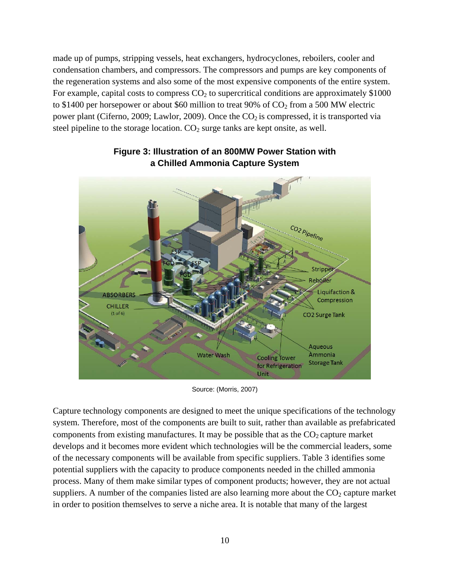made up of pumps, stripping vessels, heat exchangers, hydrocyclones, reboilers, cooler and condensation chambers, and compressors. The compressors and pumps are key components of the regeneration systems and also some of the most expensive components of the entire system. For example, capital costs to compress  $CO<sub>2</sub>$  to supercritical conditions are approximately \$1000 to \$1400 per horsepower or about \$60 million to treat 90% of  $CO<sub>2</sub>$  from a 500 MW electric power plant (Ciferno, 2009; Lawlor, 2009). Once the  $CO<sub>2</sub>$  is compressed, it is transported via steel pipeline to the storage location.  $CO<sub>2</sub>$  surge tanks are kept onsite, as well.



## **Figure 3: Illustration of an 800MW Power Station with a Chilled Ammonia Capture System**

Source: (Morris, 2007)

Capture technology components are designed to meet the unique specifications of the technology system. Therefore, most of the components are built to suit, rather than available as prefabricated components from existing manufactures. It may be possible that as the  $CO<sub>2</sub>$  capture market develops and it becomes more evident which technologies will be the commercial leaders, some of the necessary components will be available from specific suppliers. Table 3 identifies some potential suppliers with the capacity to produce components needed in the chilled ammonia process. Many of them make similar types of component products; however, they are not actual suppliers. A number of the companies listed are also learning more about the  $CO<sub>2</sub>$  capture market in order to position themselves to serve a niche area. It is notable that many of the largest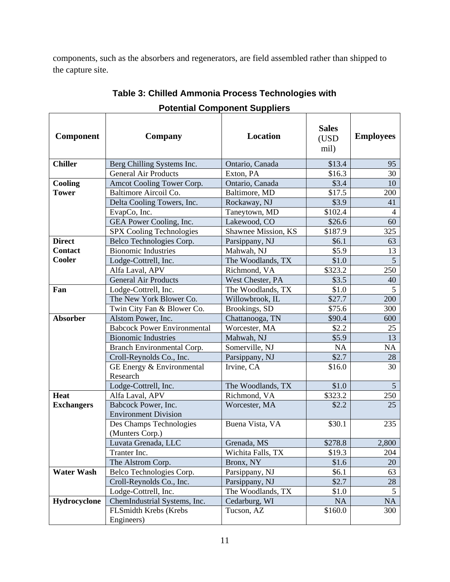components, such as the absorbers and regenerators, are field assembled rather than shipped to the capture site.

| Component         | <b>Company</b>                                     | <b>Location</b>     | <b>Sales</b><br>(USD<br>mil) | <b>Employees</b> |
|-------------------|----------------------------------------------------|---------------------|------------------------------|------------------|
| <b>Chiller</b>    | Berg Chilling Systems Inc.                         | Ontario, Canada     | \$13.4                       | 95               |
|                   | <b>General Air Products</b>                        | Exton, PA           | \$16.3                       | 30               |
| Cooling           | Amcot Cooling Tower Corp.                          | Ontario, Canada     | \$3.4                        | 10               |
| <b>Tower</b>      | Baltimore Aircoil Co.                              | Baltimore, MD       | \$17.5                       | 200              |
|                   | Delta Cooling Towers, Inc.                         | Rockaway, NJ        | \$3.9                        | 41               |
|                   | EvapCo, Inc.                                       | Taneytown, MD       | \$102.4                      | $\overline{4}$   |
|                   | GEA Power Cooling, Inc.                            | Lakewood, CO        | \$26.6                       | 60               |
|                   | SPX Cooling Technologies                           | Shawnee Mission, KS | \$187.9                      | 325              |
| <b>Direct</b>     | Belco Technologies Corp.                           | Parsippany, NJ      | \$6.1                        | 63               |
| <b>Contact</b>    | <b>Bionomic Industries</b>                         | Mahwah, NJ          | \$5.9                        | 13               |
| Cooler            | Lodge-Cottrell, Inc.                               | The Woodlands, TX   | \$1.0                        | $\overline{5}$   |
|                   | Alfa Laval, APV                                    | Richmond, VA        | \$323.2                      | 250              |
|                   | <b>General Air Products</b>                        | West Chester, PA    | \$3.5                        | 40               |
| Fan               | Lodge-Cottrell, Inc.                               | The Woodlands, TX   | \$1.0                        | 5                |
|                   | The New York Blower Co.                            | Willowbrook, IL     | \$27.7                       | 200              |
|                   | Twin City Fan & Blower Co.                         | Brookings, SD       | \$75.6                       | 300              |
| Absorber          | Alstom Power, Inc.                                 | Chattanooga, TN     | \$90.4                       | 600              |
|                   | <b>Babcock Power Environmental</b>                 | Worcester, MA       | \$2.2                        | 25               |
|                   | <b>Bionomic Industries</b>                         | Mahwah, NJ          | \$5.9                        | 13               |
|                   | Branch Environmental Corp.                         | Somerville, NJ      | NA                           | NA               |
|                   | Croll-Reynolds Co., Inc.                           | Parsippany, NJ      | \$2.7                        | 28               |
|                   | GE Energy & Environmental<br>Research              | Irvine, CA          | \$16.0                       | 30               |
|                   | Lodge-Cottrell, Inc.                               | The Woodlands, TX   | \$1.0                        | $5\overline{)}$  |
| <b>Heat</b>       | Alfa Laval, APV                                    | Richmond, VA        | \$323.2                      | 250              |
| <b>Exchangers</b> | Babcock Power, Inc.<br><b>Environment Division</b> | Worcester, MA       | \$2.2                        | 25               |
|                   | Des Champs Technologies<br>(Munters Corp.)         | Buena Vista, VA     | \$30.1                       | 235              |
|                   | Luvata Grenada, LLC                                | Grenada, MS         | \$278.8                      | 2,800            |
|                   | Tranter Inc.                                       | Wichita Falls, TX   | \$19.3                       | 204              |
|                   | The Alstrom Corp.                                  | Bronx, NY           | \$1.6                        | 20               |
| <b>Water Wash</b> | Belco Technologies Corp.                           | Parsippany, NJ      | \$6.1                        | 63               |
|                   | Croll-Reynolds Co., Inc.                           | Parsippany, NJ      | \$2.7                        | 28               |
|                   | Lodge-Cottrell, Inc.                               | The Woodlands, TX   | \$1.0                        | 5                |
| Hydrocyclone      | ChemIndustrial Systems, Inc.                       | Cedarburg, WI       | NA                           | NA               |
|                   | FLSmidth Krebs (Krebs<br>Engineers)                | Tucson, AZ          | \$160.0                      | 300              |

## **Table 3: Chilled Ammonia Process Technologies with Potential Component Suppliers**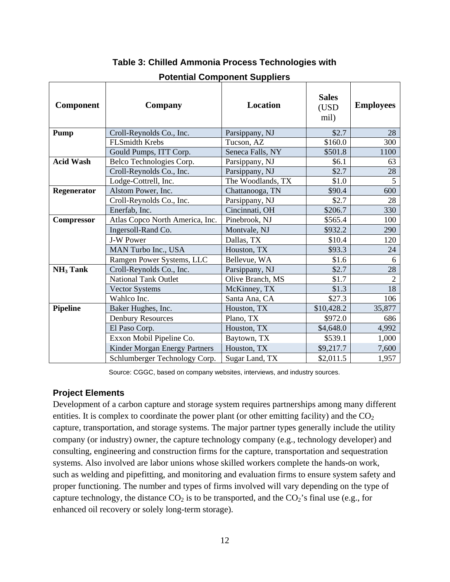| <b>Component</b>     | Company                         | <b>Location</b>   | <b>Sales</b><br>(USD<br>mil) | <b>Employees</b> |
|----------------------|---------------------------------|-------------------|------------------------------|------------------|
| <b>Pump</b>          | Croll-Reynolds Co., Inc.        | Parsippany, NJ    | \$2.7                        | 28               |
|                      | <b>FLSmidth Krebs</b>           | Tucson, AZ        | \$160.0                      | 300              |
|                      | Gould Pumps, ITT Corp.          | Seneca Falls, NY  | \$501.8                      | 1100             |
| <b>Acid Wash</b>     | Belco Technologies Corp.        | Parsippany, NJ    | \$6.1                        | 63               |
|                      | Croll-Reynolds Co., Inc.        | Parsippany, NJ    | \$2.7                        | 28               |
|                      | Lodge-Cottrell, Inc.            | The Woodlands, TX | \$1.0                        | 5                |
| Regenerator          | Alstom Power, Inc.              | Chattanooga, TN   | \$90.4                       | 600              |
|                      | Croll-Reynolds Co., Inc.        | Parsippany, NJ    | \$2.7                        | 28               |
|                      | Enerfab, Inc.                   | Cincinnati, OH    | \$206.7                      | 330              |
| Compressor           | Atlas Copco North America, Inc. | Pinebrook, NJ     | \$565.4                      | 100              |
|                      | Ingersoll-Rand Co.              | Montvale, NJ      | \$932.2                      | 290              |
|                      | <b>J-W Power</b>                | Dallas, TX        | \$10.4                       | 120              |
|                      | MAN Turbo Inc., USA             | Houston, TX       | \$93.3                       | 24               |
|                      | Ramgen Power Systems, LLC       | Bellevue, WA      | \$1.6                        | 6                |
| NH <sub>3</sub> Tank | Croll-Reynolds Co., Inc.        | Parsippany, NJ    | \$2.7                        | 28               |
|                      | <b>National Tank Outlet</b>     | Olive Branch, MS  | \$1.7                        | $\overline{2}$   |
|                      | <b>Vector Systems</b>           | McKinney, TX      | \$1.3                        | 18               |
|                      | Wahlco Inc.                     | Santa Ana, CA     | \$27.3                       | 106              |
| <b>Pipeline</b>      | Baker Hughes, Inc.              | Houston, TX       | \$10,428.2                   | 35,877           |
|                      | <b>Denbury Resources</b>        | Plano, TX         | \$972.0                      | 686              |
|                      | El Paso Corp.                   | Houston, TX       | \$4,648.0                    | 4,992            |
|                      | Exxon Mobil Pipeline Co.        | Baytown, TX       | \$539.1                      | 1,000            |
|                      | Kinder Morgan Energy Partners   | Houston, TX       | \$9,217.7                    | 7,600            |
|                      | Schlumberger Technology Corp.   | Sugar Land, TX    | \$2,011.5                    | 1,957            |

## **Table 3: Chilled Ammonia Process Technologies with**

### **Potential Component Suppliers**

Source: CGGC, based on company websites, interviews, and industry sources.

#### **Project Elements**

Development of a carbon capture and storage system requires partnerships among many different entities. It is complex to coordinate the power plant (or other emitting facility) and the  $CO<sub>2</sub>$ capture, transportation, and storage systems. The major partner types generally include the utility company (or industry) owner, the capture technology company (e.g., technology developer) and consulting, engineering and construction firms for the capture, transportation and sequestration systems. Also involved are labor unions whose skilled workers complete the hands-on work, such as welding and pipefitting, and monitoring and evaluation firms to ensure system safety and proper functioning. The number and types of firms involved will vary depending on the type of capture technology, the distance  $CO_2$  is to be transported, and the  $CO_2$ 's final use (e.g., for enhanced oil recovery or solely long-term storage).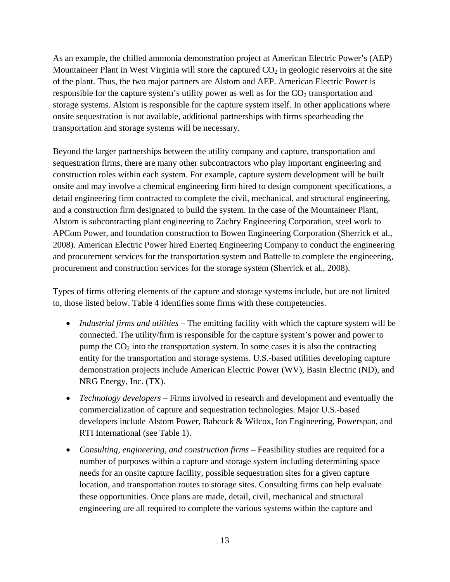As an example, the chilled ammonia demonstration project at American Electric Power's (AEP) Mountaineer Plant in West Virginia will store the captured  $CO<sub>2</sub>$  in geologic reservoirs at the site of the plant. Thus, the two major partners are Alstom and AEP. American Electric Power is responsible for the capture system's utility power as well as for the  $CO<sub>2</sub>$  transportation and storage systems. Alstom is responsible for the capture system itself. In other applications where onsite sequestration is not available, additional partnerships with firms spearheading the transportation and storage systems will be necessary.

Beyond the larger partnerships between the utility company and capture, transportation and sequestration firms, there are many other subcontractors who play important engineering and construction roles within each system. For example, capture system development will be built onsite and may involve a chemical engineering firm hired to design component specifications, a detail engineering firm contracted to complete the civil, mechanical, and structural engineering, and a construction firm designated to build the system. In the case of the Mountaineer Plant, Alstom is subcontracting plant engineering to Zachry Engineering Corporation, steel work to APCom Power, and foundation construction to Bowen Engineering Corporation (Sherrick et al., 2008). American Electric Power hired Enerteq Engineering Company to conduct the engineering and procurement services for the transportation system and Battelle to complete the engineering, procurement and construction services for the storage system (Sherrick et al., 2008).

Types of firms offering elements of the capture and storage systems include, but are not limited to, those listed below. Table 4 identifies some firms with these competencies.

- *Industrial firms and utilities* The emitting facility with which the capture system will be connected. The utility/firm is responsible for the capture system's power and power to pump the  $CO<sub>2</sub>$  into the transportation system. In some cases it is also the contracting entity for the transportation and storage systems. U.S.-based utilities developing capture demonstration projects include American Electric Power (WV), Basin Electric (ND), and NRG Energy, Inc. (TX).
- *Technology developers* Firms involved in research and development and eventually the commercialization of capture and sequestration technologies. Major U.S.-based developers include Alstom Power, Babcock & Wilcox, Ion Engineering, Powerspan, and RTI International (see Table 1).
- *Consulting, engineering, and construction firms* Feasibility studies are required for a number of purposes within a capture and storage system including determining space needs for an onsite capture facility, possible sequestration sites for a given capture location, and transportation routes to storage sites. Consulting firms can help evaluate these opportunities. Once plans are made, detail, civil, mechanical and structural engineering are all required to complete the various systems within the capture and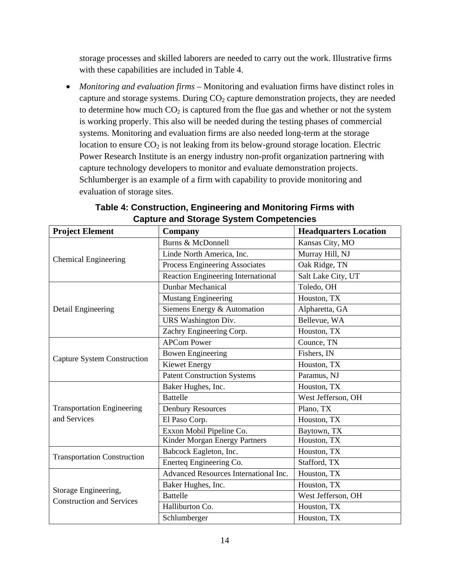storage processes and skilled laborers are needed to carry out the work. Illustrative firms with these capabilities are included in Table 4.

• *Monitoring and evaluation firms* – Monitoring and evaluation firms have distinct roles in capture and storage systems. During  $CO<sub>2</sub>$  capture demonstration projects, they are needed to determine how much  $CO<sub>2</sub>$  is captured from the flue gas and whether or not the system is working properly. This also will be needed during the testing phases of commercial systems. Monitoring and evaluation firms are also needed long-term at the storage location to ensure  $CO<sub>2</sub>$  is not leaking from its below-ground storage location. Electric Power Research Institute is an energy industry non-profit organization partnering with capture technology developers to monitor and evaluate demonstration projects. Schlumberger is an example of a firm with capability to provide monitoring and evaluation of storage sites.

| <b>Project Element</b>                                   | Company                               | <b>Headquarters Location</b> |
|----------------------------------------------------------|---------------------------------------|------------------------------|
|                                                          | Burns & McDonnell                     | Kansas City, MO              |
| <b>Chemical Engineering</b>                              | Linde North America, Inc.             | Murray Hill, NJ              |
|                                                          | Process Engineering Associates        | Oak Ridge, TN                |
|                                                          | Reaction Engineering International    | Salt Lake City, UT           |
|                                                          | Dunbar Mechanical                     | Toledo, OH                   |
|                                                          | <b>Mustang Engineering</b>            | Houston, TX                  |
| Detail Engineering                                       | Siemens Energy & Automation           | Alpharetta, GA               |
|                                                          | URS Washington Div.                   | Bellevue, WA                 |
|                                                          | Zachry Engineering Corp.              | Houston, TX                  |
|                                                          | <b>APCom Power</b>                    | Counce, TN                   |
| <b>Capture System Construction</b>                       | <b>Bowen Engineering</b>              | Fishers, IN                  |
|                                                          | <b>Kiewet Energy</b>                  | Houston, TX                  |
|                                                          | <b>Patent Construction Systems</b>    | Paramus, NJ                  |
|                                                          | Baker Hughes, Inc.                    | Houston, TX                  |
|                                                          | <b>Battelle</b>                       | West Jefferson, OH           |
| <b>Transportation Engineering</b>                        | <b>Denbury Resources</b>              | Plano, TX                    |
| and Services                                             | El Paso Corp.                         | Houston, TX                  |
|                                                          | Exxon Mobil Pipeline Co.              | Baytown, TX                  |
|                                                          | Kinder Morgan Energy Partners         | Houston, TX                  |
| <b>Transportation Construction</b>                       | Babcock Eagleton, Inc.                | Houston, TX                  |
|                                                          | Enerteq Engineering Co.               | Stafford, TX                 |
| Storage Engineering,<br><b>Construction and Services</b> | Advanced Resources International Inc. | Houston, TX                  |
|                                                          | Baker Hughes, Inc.                    | Houston, TX                  |
|                                                          | <b>Battelle</b>                       | West Jefferson, OH           |
|                                                          | Halliburton Co.                       | Houston, TX                  |
|                                                          | Schlumberger                          | Houston, TX                  |

### **Table 4: Construction, Engineering and Monitoring Firms with Capture and Storage System Competencies**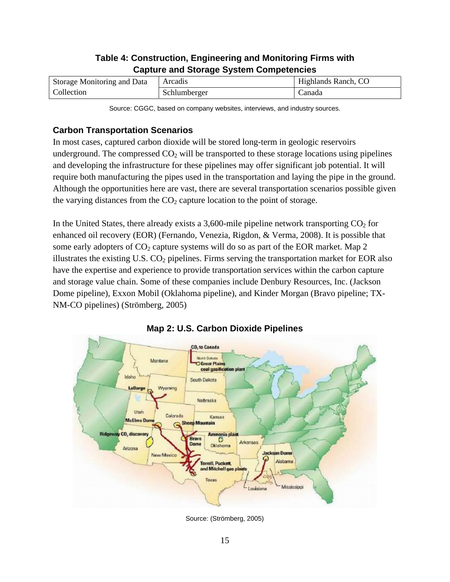## **Table 4: Construction, Engineering and Monitoring Firms with Capture and Storage System Competencies**

| Storage Monitoring and Data | <b>Arcadis</b> | Highlands Ranch, CO |
|-----------------------------|----------------|---------------------|
| Collection                  | Schlumberger   | .`anada             |

Source: CGGC, based on company websites, interviews, and industry sources.

## **Carbon Transportation Scenarios**

In most cases, captured carbon dioxide will be stored long-term in geologic reservoirs underground. The compressed  $CO<sub>2</sub>$  will be transported to these storage locations using pipelines and developing the infrastructure for these pipelines may offer significant job potential. It will require both manufacturing the pipes used in the transportation and laying the pipe in the ground. Although the opportunities here are vast, there are several transportation scenarios possible given the varying distances from the  $CO<sub>2</sub>$  capture location to the point of storage.

In the United States, there already exists a 3,600-mile pipeline network transporting  $CO<sub>2</sub>$  for enhanced oil recovery (EOR) (Fernando, Venezia, Rigdon, & Verma, 2008). It is possible that some early adopters of  $CO_2$  capture systems will do so as part of the EOR market. Map 2 illustrates the existing U.S.  $CO<sub>2</sub>$  pipelines. Firms serving the transportation market for EOR also have the expertise and experience to provide transportation services within the carbon capture and storage value chain. Some of these companies include Denbury Resources, Inc. (Jackson Dome pipeline), Exxon Mobil (Oklahoma pipeline), and Kinder Morgan (Bravo pipeline; TX-NM-CO pipelines) (Strömberg, 2005)





Source: (Strömberg, 2005)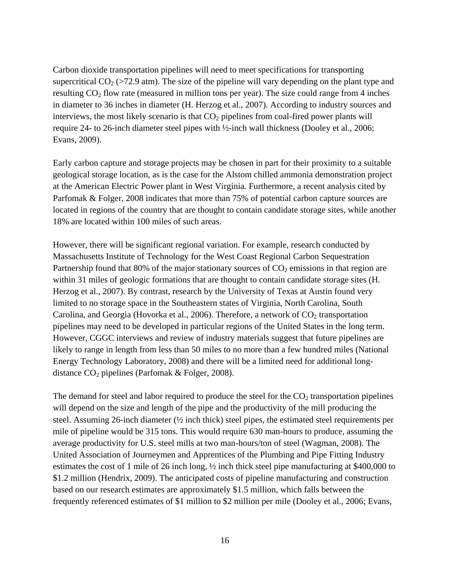Carbon dioxide transportation pipelines will need to meet specifications for transporting supercritical  $CO<sub>2</sub> (>72.9$  atm). The size of the pipeline will vary depending on the plant type and resulting  $CO<sub>2</sub>$  flow rate (measured in million tons per year). The size could range from 4 inches in diameter to 36 inches in diameter (H. Herzog et al., 2007). According to industry sources and interviews, the most likely scenario is that  $CO<sub>2</sub>$  pipelines from coal-fired power plants will require 24- to 26-inch diameter steel pipes with ½-inch wall thickness (Dooley et al., 2006; Evans, 2009).

Early carbon capture and storage projects may be chosen in part for their proximity to a suitable geological storage location, as is the case for the Alstom chilled ammonia demonstration project at the American Electric Power plant in West Virginia. Furthermore, a recent analysis cited by Parfomak & Folger, 2008 indicates that more than 75% of potential carbon capture sources are located in regions of the country that are thought to contain candidate storage sites, while another 18% are located within 100 miles of such areas.

However, there will be significant regional variation. For example, research conducted by Massachusetts Institute of Technology for the West Coast Regional Carbon Sequestration Partnership found that 80% of the major stationary sources of  $CO<sub>2</sub>$  emissions in that region are within 31 miles of geologic formations that are thought to contain candidate storage sites (H. Herzog et al., 2007). By contrast, research by the University of Texas at Austin found very limited to no storage space in the Southeastern states of Virginia, North Carolina, South Carolina, and Georgia (Hovorka et al., 2006). Therefore, a network of  $CO<sub>2</sub>$  transportation pipelines may need to be developed in particular regions of the United States in the long term. However, CGGC interviews and review of industry materials suggest that future pipelines are likely to range in length from less than 50 miles to no more than a few hundred miles (National Energy Technology Laboratory, 2008) and there will be a limited need for additional longdistance  $CO<sub>2</sub>$  pipelines (Parfomak & Folger, 2008).

The demand for steel and labor required to produce the steel for the  $CO<sub>2</sub>$  transportation pipelines will depend on the size and length of the pipe and the productivity of the mill producing the steel. Assuming 26-inch diameter (½ inch thick) steel pipes, the estimated steel requirements per mile of pipeline would be 315 tons. This would require 630 man-hours to produce, assuming the average productivity for U.S. steel mills at two man-hours/ton of steel (Wagman, 2008). The United Association of Journeymen and Apprentices of the Plumbing and Pipe Fitting Industry estimates the cost of 1 mile of 26 inch long, ½ inch thick steel pipe manufacturing at \$400,000 to \$1.2 million (Hendrix, 2009). The anticipated costs of pipeline manufacturing and construction based on our research estimates are approximately \$1.5 million, which falls between the frequently referenced estimates of \$1 million to \$2 million per mile (Dooley et al., 2006; Evans,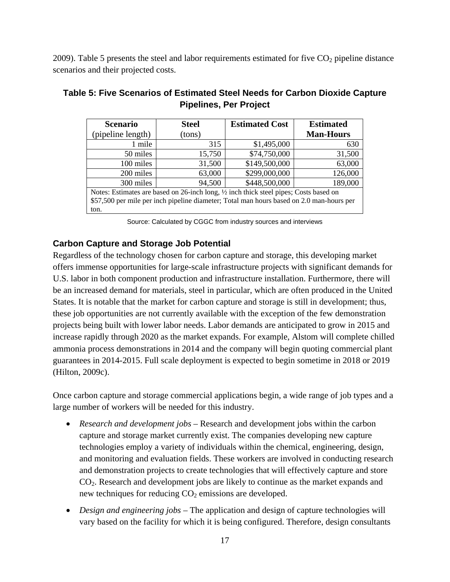2009). Table 5 presents the steel and labor requirements estimated for five  $CO<sub>2</sub>$  pipeline distance scenarios and their projected costs.

| <b>Scenario</b>                                                                                  | <b>Steel</b> | <b>Estimated Cost</b> | <b>Estimated</b> |  |
|--------------------------------------------------------------------------------------------------|--------------|-----------------------|------------------|--|
| (pipeline length)                                                                                | (tons)       |                       | <b>Man-Hours</b> |  |
| 1 mile                                                                                           | 315          | \$1,495,000           | 630              |  |
| 50 miles                                                                                         | 15,750       | \$74,750,000          | 31,500           |  |
| 100 miles                                                                                        | 31,500       | \$149,500,000         | 63,000           |  |
| 200 miles                                                                                        | 63,000       | \$299,000,000         | 126,000          |  |
| 300 miles                                                                                        | 94,500       | \$448,500,000         | 189,000          |  |
| Notes: Estimates are based on 26-inch long, $\frac{1}{2}$ inch thick steel pipes; Costs based on |              |                       |                  |  |
| \$57,500 per mile per inch pipeline diameter; Total man hours based on 2.0 man-hours per         |              |                       |                  |  |
| ton.                                                                                             |              |                       |                  |  |

## **Table 5: Five Scenarios of Estimated Steel Needs for Carbon Dioxide Capture Pipelines, Per Project**

Source: Calculated by CGGC from industry sources and interviews

#### **Carbon Capture and Storage Job Potential**

Regardless of the technology chosen for carbon capture and storage, this developing market offers immense opportunities for large-scale infrastructure projects with significant demands for U.S. labor in both component production and infrastructure installation. Furthermore, there will be an increased demand for materials, steel in particular, which are often produced in the United States. It is notable that the market for carbon capture and storage is still in development; thus, these job opportunities are not currently available with the exception of the few demonstration projects being built with lower labor needs. Labor demands are anticipated to grow in 2015 and increase rapidly through 2020 as the market expands. For example, Alstom will complete chilled ammonia process demonstrations in 2014 and the company will begin quoting commercial plant guarantees in 2014-2015. Full scale deployment is expected to begin sometime in 2018 or 2019 (Hilton, 2009c).

Once carbon capture and storage commercial applications begin, a wide range of job types and a large number of workers will be needed for this industry.

- *Research and development jobs* Research and development jobs within the carbon capture and storage market currently exist. The companies developing new capture technologies employ a variety of individuals within the chemical, engineering, design, and monitoring and evaluation fields. These workers are involved in conducting research and demonstration projects to create technologies that will effectively capture and store CO2. Research and development jobs are likely to continue as the market expands and new techniques for reducing  $CO<sub>2</sub>$  emissions are developed.
- *Design and engineering jobs* The application and design of capture technologies will vary based on the facility for which it is being configured. Therefore, design consultants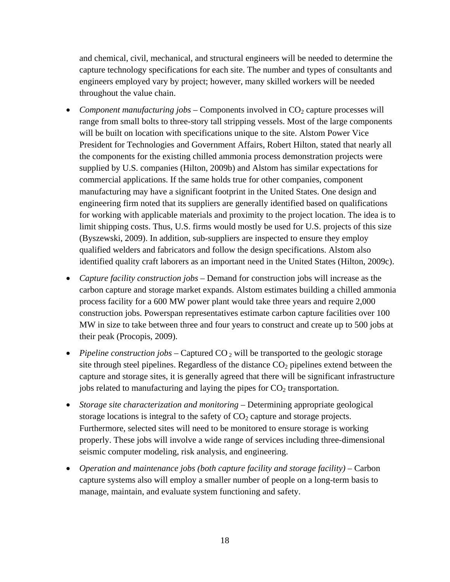and chemical, civil, mechanical, and structural engineers will be needed to determine the capture technology specifications for each site. The number and types of consultants and engineers employed vary by project; however, many skilled workers will be needed throughout the value chain.

- *Component manufacturing jobs* Components involved in  $CO_2$  capture processes will range from small bolts to three-story tall stripping vessels. Most of the large components will be built on location with specifications unique to the site. Alstom Power Vice President for Technologies and Government Affairs, Robert Hilton, stated that nearly all the components for the existing chilled ammonia process demonstration projects were supplied by U.S. companies (Hilton, 2009b) and Alstom has similar expectations for commercial applications. If the same holds true for other companies, component manufacturing may have a significant footprint in the United States. One design and engineering firm noted that its suppliers are generally identified based on qualifications for working with applicable materials and proximity to the project location. The idea is to limit shipping costs. Thus, U.S. firms would mostly be used for U.S. projects of this size (Byszewski, 2009). In addition, sub-suppliers are inspected to ensure they employ qualified welders and fabricators and follow the design specifications. Alstom also identified quality craft laborers as an important need in the United States (Hilton, 2009c).
- *Capture facility construction jobs* Demand for construction jobs will increase as the carbon capture and storage market expands. Alstom estimates building a chilled ammonia process facility for a 600 MW power plant would take three years and require 2,000 construction jobs. Powerspan representatives estimate carbon capture facilities over 100 MW in size to take between three and four years to construct and create up to 500 jobs at their peak (Procopis, 2009).
- *Pipeline construction jobs* Captured CO<sub>2</sub> will be transported to the geologic storage site through steel pipelines. Regardless of the distance  $CO<sub>2</sub>$  pipelines extend between the capture and storage sites, it is generally agreed that there will be significant infrastructure jobs related to manufacturing and laying the pipes for  $CO<sub>2</sub>$  transportation.
- *Storage site characterization and monitoring* Determining appropriate geological storage locations is integral to the safety of  $CO<sub>2</sub>$  capture and storage projects. Furthermore, selected sites will need to be monitored to ensure storage is working properly. These jobs will involve a wide range of services including three-dimensional seismic computer modeling, risk analysis, and engineering.
- *Operation and maintenance jobs (both capture facility and storage facility)* Carbon capture systems also will employ a smaller number of people on a long-term basis to manage, maintain, and evaluate system functioning and safety.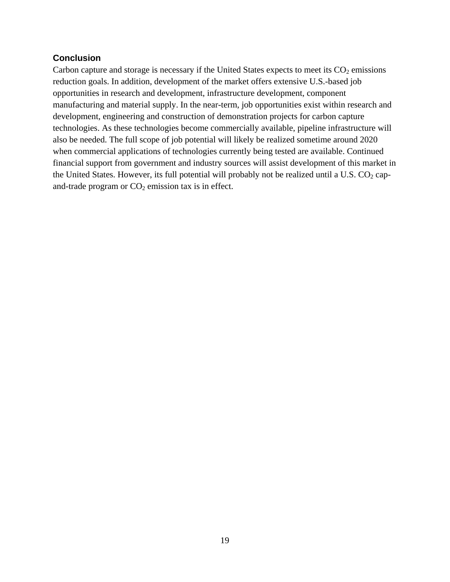#### **Conclusion**

Carbon capture and storage is necessary if the United States expects to meet its  $CO<sub>2</sub>$  emissions reduction goals. In addition, development of the market offers extensive U.S.-based job opportunities in research and development, infrastructure development, component manufacturing and material supply. In the near-term, job opportunities exist within research and development, engineering and construction of demonstration projects for carbon capture technologies. As these technologies become commercially available, pipeline infrastructure will also be needed. The full scope of job potential will likely be realized sometime around 2020 when commercial applications of technologies currently being tested are available. Continued financial support from government and industry sources will assist development of this market in the United States. However, its full potential will probably not be realized until a U.S.  $CO<sub>2</sub>$  capand-trade program or  $CO<sub>2</sub>$  emission tax is in effect.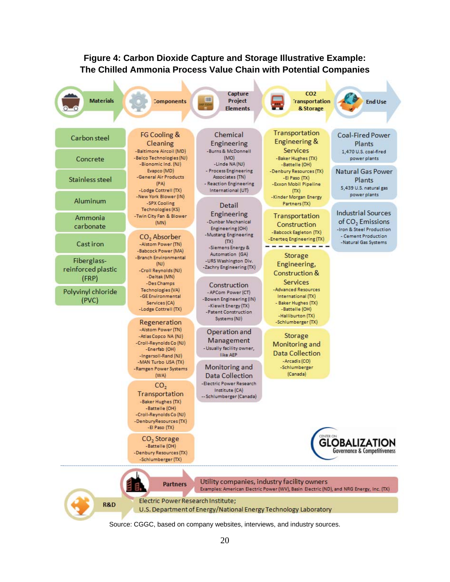

Source: CGGC, based on company websites, interviews, and industry sources.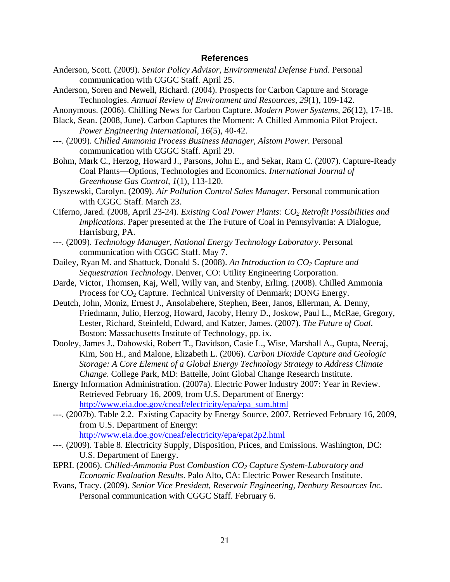#### **References**

- Anderson, Scott. (2009). *Senior Policy Advisor, Environmental Defense Fund*. Personal communication with CGGC Staff. April 25.
- Anderson, Soren and Newell, Richard. (2004). Prospects for Carbon Capture and Storage Technologies. *Annual Review of Environment and Resources, 29*(1), 109-142.
- Anonymous. (2006). Chilling News for Carbon Capture. *Modern Power Systems, 26*(12), 17-18.
- Black, Sean. (2008, June). Carbon Captures the Moment: A Chilled Ammonia Pilot Project. *Power Engineering International, 16*(5), 40-42.
- ---. (2009). *Chilled Ammonia Process Business Manager, Alstom Power*. Personal communication with CGGC Staff. April 29.
- Bohm, Mark C., Herzog, Howard J., Parsons, John E., and Sekar, Ram C. (2007). Capture-Ready Coal Plants—Options, Technologies and Economics. *International Journal of Greenhouse Gas Control, 1*(1), 113-120.
- Byszewski, Carolyn. (2009). *Air Pollution Control Sales Manager*. Personal communication with CGGC Staff. March 23.
- Ciferno, Jared. (2008, April 23-24). *Existing Coal Power Plants: CO2 Retrofit Possibilities and Implications.* Paper presented at the The Future of Coal in Pennsylvania: A Dialogue, Harrisburg, PA.
- ---. (2009). *Technology Manager, National Energy Technology Laboratory*. Personal communication with CGGC Staff. May 7.
- Dailey, Ryan M. and Shattuck, Donald S. (2008). *An Introduction to CO2 Capture and Sequestration Technology*. Denver, CO: Utility Engineering Corporation.
- Darde, Victor, Thomsen, Kaj, Well, Willy van, and Stenby, Erling. (2008). Chilled Ammonia Process for  $CO<sub>2</sub>$  Capture. Technical University of Denmark; DONG Energy.
- Deutch, John, Moniz, Ernest J., Ansolabehere, Stephen, Beer, Janos, Ellerman, A. Denny, Friedmann, Julio, Herzog, Howard, Jacoby, Henry D., Joskow, Paul L., McRae, Gregory, Lester, Richard, Steinfeld, Edward, and Katzer, James. (2007). *The Future of Coal*. Boston: Massachusetts Institute of Technology, pp. ix.
- Dooley, James J., Dahowski, Robert T., Davidson, Casie L., Wise, Marshall A., Gupta, Neeraj, Kim, Son H., and Malone, Elizabeth L. (2006). *Carbon Dioxide Capture and Geologic Storage: A Core Element of a Global Energy Technology Strategy to Address Climate Change*. College Park, MD: Battelle, Joint Global Change Research Institute.
- Energy Information Administration. (2007a). Electric Power Industry 2007: Year in Review. Retrieved February 16, 2009, from U.S. Department of Energy: http://www.eia.doe.gov/cneaf/electricity/epa/epa\_sum.html
- ---. (2007b). Table 2.2. Existing Capacity by Energy Source, 2007. Retrieved February 16, 2009, from U.S. Department of Energy: http://www.eia.doe.gov/cneaf/electricity/epa/epat2p2.html
- ---. (2009). Table 8. Electricity Supply, Disposition, Prices, and Emissions. Washington, DC: U.S. Department of Energy.
- EPRI. (2006). *Chilled-Ammonia Post Combustion CO2 Capture System-Laboratory and Economic Evaluation Results*. Palo Alto, CA: Electric Power Research Institute.
- Evans, Tracy. (2009). *Senior Vice President, Reservoir Engineering, Denbury Resources Inc.* Personal communication with CGGC Staff. February 6.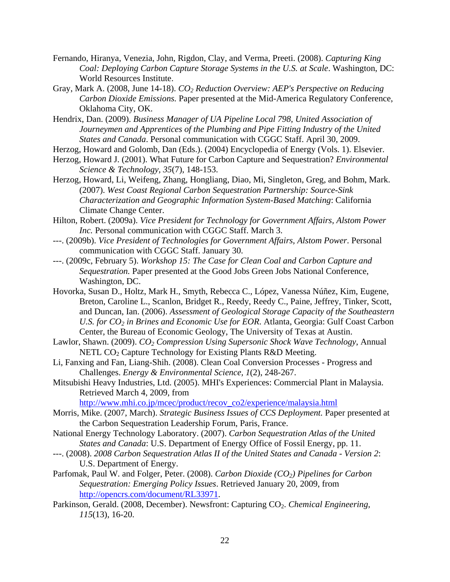- Fernando, Hiranya, Venezia, John, Rigdon, Clay, and Verma, Preeti. (2008). *Capturing King Coal: Deploying Carbon Capture Storage Systems in the U.S. at Scale*. Washington, DC: World Resources Institute.
- Gray, Mark A. (2008, June 14-18). *CO2 Reduction Overview: AEP's Perspective on Reducing Carbon Dioxide Emissions.* Paper presented at the Mid-America Regulatory Conference, Oklahoma City, OK.
- Hendrix, Dan. (2009). *Business Manager of UA Pipeline Local 798, United Association of Journeymen and Apprentices of the Plumbing and Pipe Fitting Industry of the United States and Canada*. Personal communication with CGGC Staff. April 30, 2009.
- Herzog, Howard and Golomb, Dan (Eds.). (2004) Encyclopedia of Energy (Vols. 1). Elsevier.
- Herzog, Howard J. (2001). What Future for Carbon Capture and Sequestration? *Environmental Science & Technology, 35*(7), 148-153.
- Herzog, Howard, Li, Weifeng, Zhang, Hongliang, Diao, Mi, Singleton, Greg, and Bohm, Mark. (2007). *West Coast Regional Carbon Sequestration Partnership: Source-Sink Characterization and Geographic Information System-Based Matching*: California Climate Change Center.
- Hilton, Robert. (2009a). *Vice President for Technology for Government Affairs, Alstom Power Inc.* Personal communication with CGGC Staff. March 3.
- ---. (2009b). *Vice President of Technologies for Government Affairs, Alstom Power*. Personal communication with CGGC Staff. January 30.
- ---. (2009c, February 5). *Workshop 15: The Case for Clean Coal and Carbon Capture and Sequestration.* Paper presented at the Good Jobs Green Jobs National Conference, Washington, DC.
- Hovorka, Susan D., Holtz, Mark H., Smyth, Rebecca C., López, Vanessa Núñez, Kim, Eugene, Breton, Caroline L., Scanlon, Bridget R., Reedy, Reedy C., Paine, Jeffrey, Tinker, Scott, and Duncan, Ian. (2006). *Assessment of Geological Storage Capacity of the Southeastern U.S. for CO<sub>2</sub> in Brines and Economic Use for EOR.* Atlanta, Georgia: Gulf Coast Carbon Center, the Bureau of Economic Geology, The University of Texas at Austin.
- Lawlor, Shawn. (2009). *CO2 Compression Using Supersonic Shock Wave Technology*, Annual NETL  $CO<sub>2</sub>$  Capture Technology for Existing Plants R&D Meeting.
- Li, Fanxing and Fan, Liang-Shih. (2008). Clean Coal Conversion Processes Progress and Challenges. *Energy & Environmental Science, 1*(2), 248-267.
- Mitsubishi Heavy Industries, Ltd. (2005). MHI's Experiences: Commercial Plant in Malaysia. Retrieved March 4, 2009, from

http://www.mhi.co.jp/mcec/product/recov\_co2/experience/malaysia.html

- Morris, Mike. (2007, March). *Strategic Business Issues of CCS Deployment.* Paper presented at the Carbon Sequestration Leadership Forum, Paris, France.
- National Energy Technology Laboratory. (2007). *Carbon Sequestration Atlas of the United States and Canada*: U.S. Department of Energy Office of Fossil Energy, pp. 11.
- ---. (2008). *2008 Carbon Sequestration Atlas II of the United States and Canada Version 2*: U.S. Department of Energy.
- Parfomak, Paul W. and Folger, Peter. (2008). *Carbon Dioxide (CO2) Pipelines for Carbon Sequestration: Emerging Policy Issues*. Retrieved January 20, 2009, from http://opencrs.com/document/RL33971.
- Parkinson, Gerald. (2008, December). Newsfront: Capturing CO<sub>2</sub>. *Chemical Engineering*, *115*(13), 16-20.